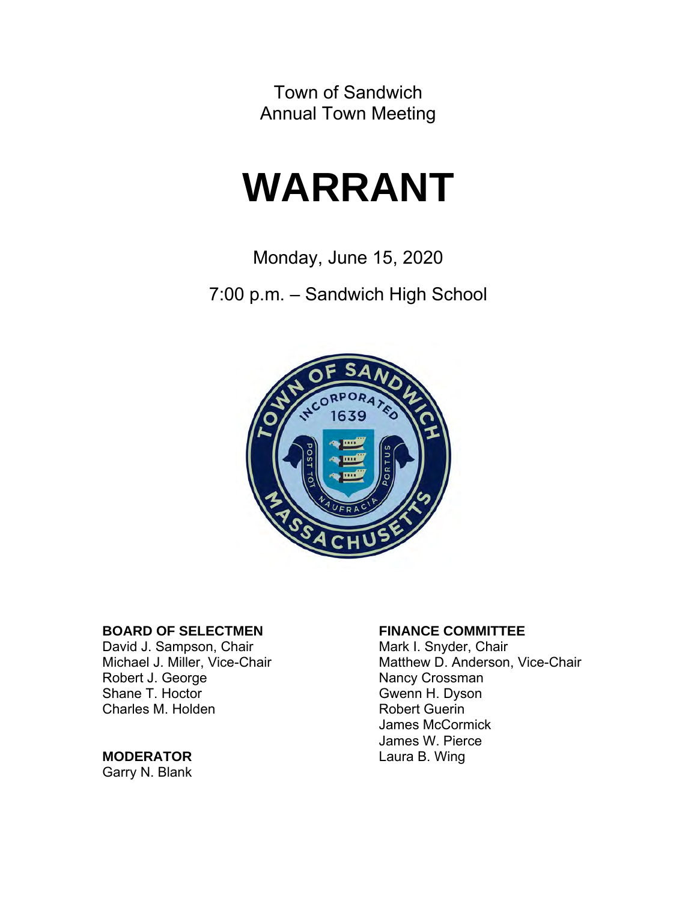Town of Sandwich Annual Town Meeting

# **WARRANT**

Monday, June 15, 2020

7:00 p.m. – Sandwich High School



# **BOARD OF SELECTMEN**<br>
David J. Sampson, Chair **FINANCE COMMITTEE**

David J. Sampson, Chair Robert J. George Nancy Crossman Shane T. Hoctor **Gwenn H. Dyson** Charles M. Holden **Robert Guerin** 

#### **MODERATOR** Laura B. Wing

Garry N. Blank

Michael J. Miller, Vice-Chair Matthew D. Anderson, Vice-Chair James McCormick James W. Pierce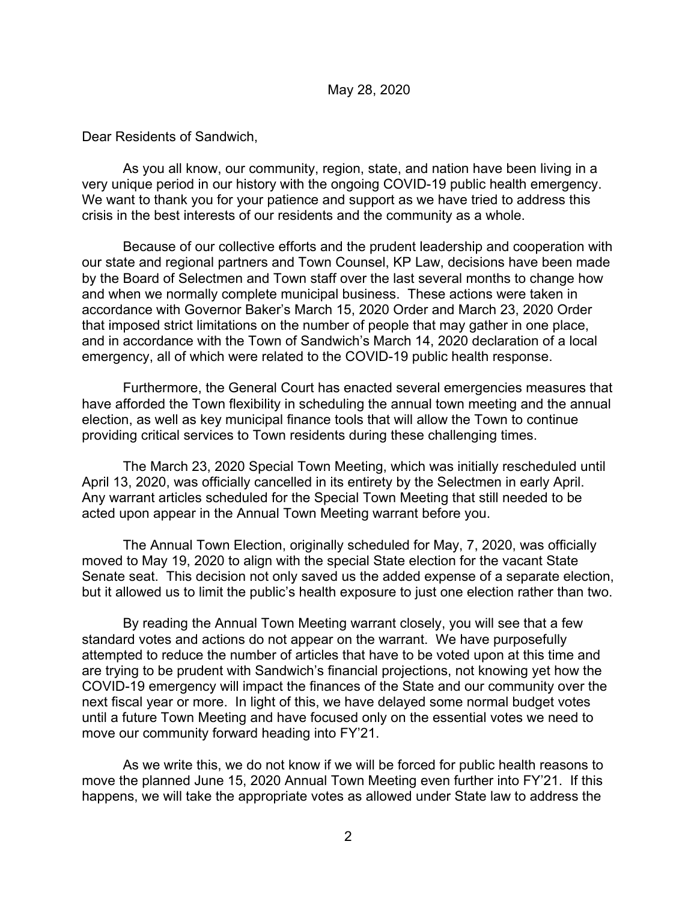#### May 28, 2020

Dear Residents of Sandwich,

As you all know, our community, region, state, and nation have been living in a very unique period in our history with the ongoing COVID-19 public health emergency. We want to thank you for your patience and support as we have tried to address this crisis in the best interests of our residents and the community as a whole.

Because of our collective efforts and the prudent leadership and cooperation with our state and regional partners and Town Counsel, KP Law, decisions have been made by the Board of Selectmen and Town staff over the last several months to change how and when we normally complete municipal business. These actions were taken in accordance with Governor Baker's March 15, 2020 Order and March 23, 2020 Order that imposed strict limitations on the number of people that may gather in one place, and in accordance with the Town of Sandwich's March 14, 2020 declaration of a local emergency, all of which were related to the COVID-19 public health response.

Furthermore, the General Court has enacted several emergencies measures that have afforded the Town flexibility in scheduling the annual town meeting and the annual election, as well as key municipal finance tools that will allow the Town to continue providing critical services to Town residents during these challenging times.

The March 23, 2020 Special Town Meeting, which was initially rescheduled until April 13, 2020, was officially cancelled in its entirety by the Selectmen in early April. Any warrant articles scheduled for the Special Town Meeting that still needed to be acted upon appear in the Annual Town Meeting warrant before you.

The Annual Town Election, originally scheduled for May, 7, 2020, was officially moved to May 19, 2020 to align with the special State election for the vacant State Senate seat. This decision not only saved us the added expense of a separate election, but it allowed us to limit the public's health exposure to just one election rather than two.

By reading the Annual Town Meeting warrant closely, you will see that a few standard votes and actions do not appear on the warrant. We have purposefully attempted to reduce the number of articles that have to be voted upon at this time and are trying to be prudent with Sandwich's financial projections, not knowing yet how the COVID-19 emergency will impact the finances of the State and our community over the next fiscal year or more. In light of this, we have delayed some normal budget votes until a future Town Meeting and have focused only on the essential votes we need to move our community forward heading into FY'21.

As we write this, we do not know if we will be forced for public health reasons to move the planned June 15, 2020 Annual Town Meeting even further into FY'21. If this happens, we will take the appropriate votes as allowed under State law to address the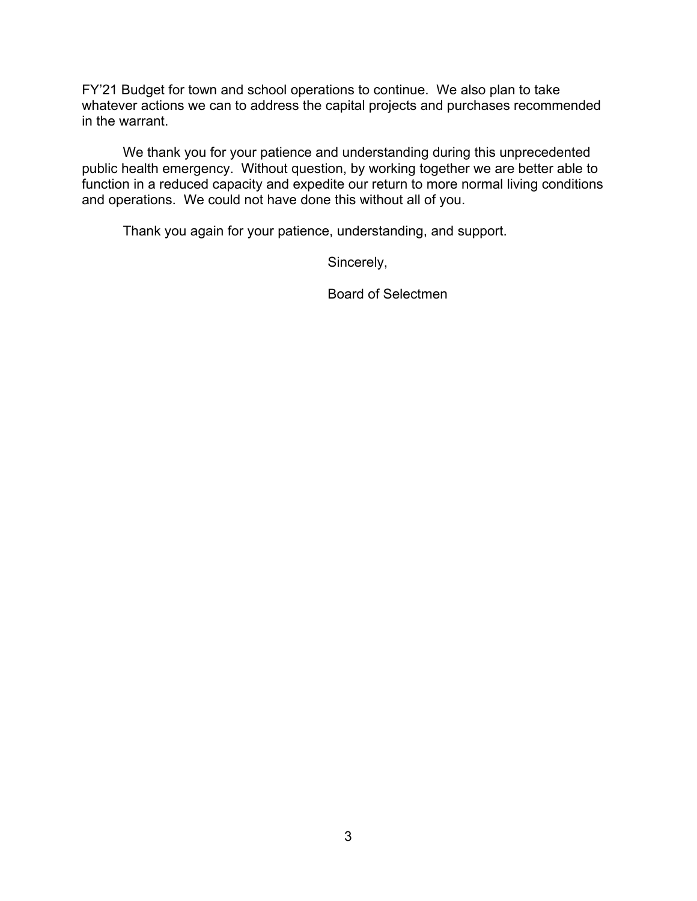FY'21 Budget for town and school operations to continue. We also plan to take whatever actions we can to address the capital projects and purchases recommended in the warrant.

We thank you for your patience and understanding during this unprecedented public health emergency. Without question, by working together we are better able to function in a reduced capacity and expedite our return to more normal living conditions and operations. We could not have done this without all of you.

Thank you again for your patience, understanding, and support.

Sincerely,

Board of Selectmen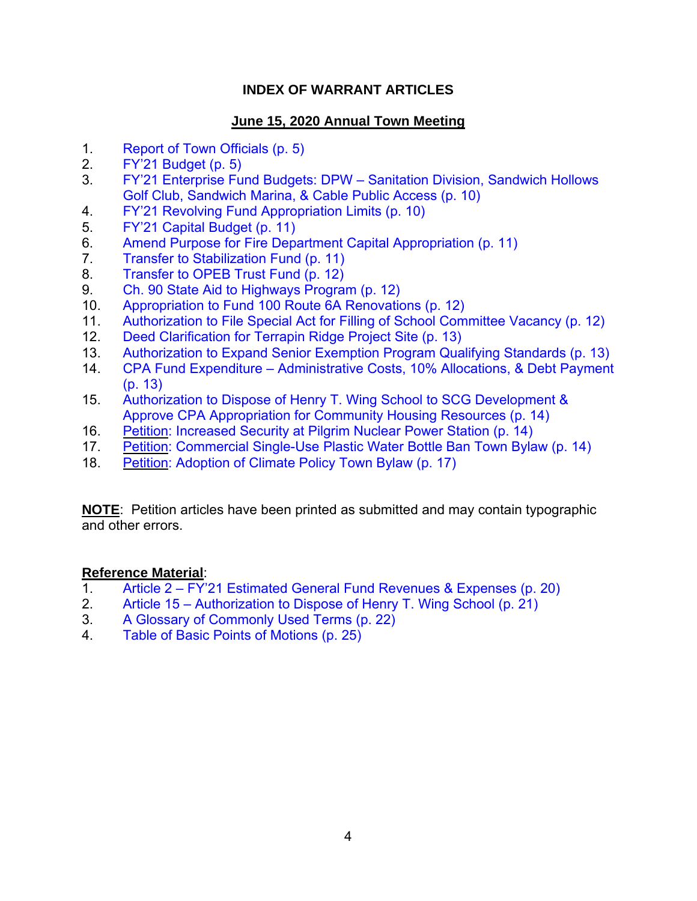#### **INDEX OF WARRANT ARTICLES**

#### **June 15, 2020 Annual Town Meeting**

- 1. [Report of Town Officials \(p. 5\)](#page-4-0)
- 2. FY'21 Budget (p. 5)
- 3. FY'21 [Enterprise Fund Budgets: DPW Sanitation Division, Sandwich Hollows](#page-9-0)  Golf Club, Sandwich Marina, & Cable Public Access (p. 10)
- 4. FY'21 Revolving Fund Appropriation Limits (p. 10)
- 5. FY'21 Capital Budget (p. 11)
- 6. [Amend Purpose for Fire Department Capital Appropriation \(p. 11\)](#page-10-0)
- 7. Transfer to Stabilization Fund (p. 11)
- 8. Transfer to OPEB Trust Fund (p. 12)
- 9. Ch. 90 State Aid to Highways Program (p. 12)
- 10. Appropriation to Fund 100 Route 6A Renovations (p. 12)
- 11. [Authorization to File Special Act for Filling of School Committee Vacancy \(p. 12\)](#page-11-0)
- 12. Deed Clarification for Terrapin Ridge Project Site (p. 13)
- 13. Authorization to Expand Senior Exemption Program Qualifying Standards (p. 13)
- 14. [CPA Fund Expenditure Administrative Costs, 10% Allocations, & Debt Payment](#page-12-0)  (p. 13)
- 15. Authorization to Dispose of Henry T. Wing School to SCG Development & Approve CPA Appropriation for Community Housing Resources (p. 14)
- 16. Petition: Increased Security at Pilgrim Nuclear Power Station (p. 14)
- 17. [Petition: Commercial Single-Use Plastic Water Bottle Ban Town Bylaw \(p. 14\)](#page-13-0)
- 18. [Petition: Adoption of Climate Policy Town Bylaw \(p. 17\)](#page-16-0)

**NOTE**: Petition articles have been printed as submitted and may contain typographic and other errors.

#### **Reference Material**:

- 1. Article 2 FY'21 Estimated [General Fund Revenues & Expenses](#page-19-0) (p. 20)
- 2. [Article 15 Authorization to Dispose](#page-20-0) of Henry T. Wing School (p. 21)
- 3. [A Glossary of Commonly Used Terms \(p. 22\)](#page-21-0)
- 4. Table [of Basic Points of Motions \(p. 25\)](#page-24-0)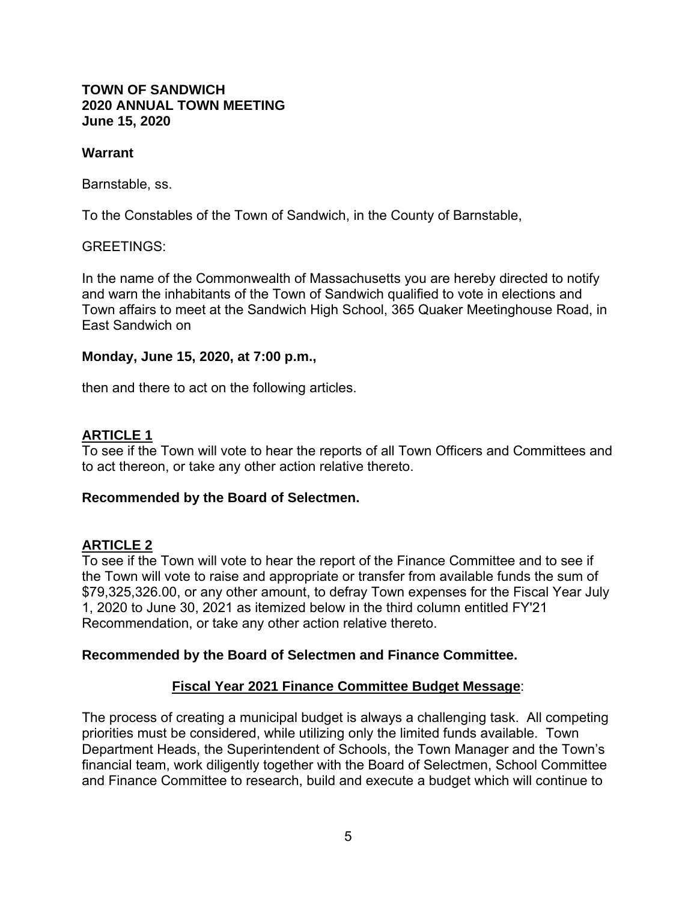#### <span id="page-4-0"></span>**TOWN OF SANDWICH 2020 ANNUAL TOWN MEETING June 15, 2020**

#### **Warrant**

Barnstable, ss.

To the Constables of the Town of Sandwich, in the County of Barnstable,

#### GREETINGS:

In the name of the Commonwealth of Massachusetts you are hereby directed to notify and warn the inhabitants of the Town of Sandwich qualified to vote in elections and Town affairs to meet at the Sandwich High School, 365 Quaker Meetinghouse Road, in East Sandwich on

#### **Monday, June 15, 2020, at 7:00 p.m.,**

then and there to act on the following articles.

#### **ARTICLE 1**

To see if the Town will vote to hear the reports of all Town Officers and Committees and to act thereon, or take any other action relative thereto.

#### **Recommended by the Board of Selectmen.**

#### **ARTICLE 2**

To see if the Town will vote to hear the report of the Finance Committee and to see if the Town will vote to raise and appropriate or transfer from available funds the sum of \$79,325,326.00, or any other amount, to defray Town expenses for the Fiscal Year July 1, 2020 to June 30, 2021 as itemized below in the third column entitled FY'21 Recommendation, or take any other action relative thereto.

#### **Recommended by the Board of Selectmen and Finance Committee.**

#### **Fiscal Year 2021 Finance Committee Budget Message**:

The process of creating a municipal budget is always a challenging task. All competing priorities must be considered, while utilizing only the limited funds available. Town Department Heads, the Superintendent of Schools, the Town Manager and the Town's financial team, work diligently together with the Board of Selectmen, School Committee and Finance Committee to research, build and execute a budget which will continue to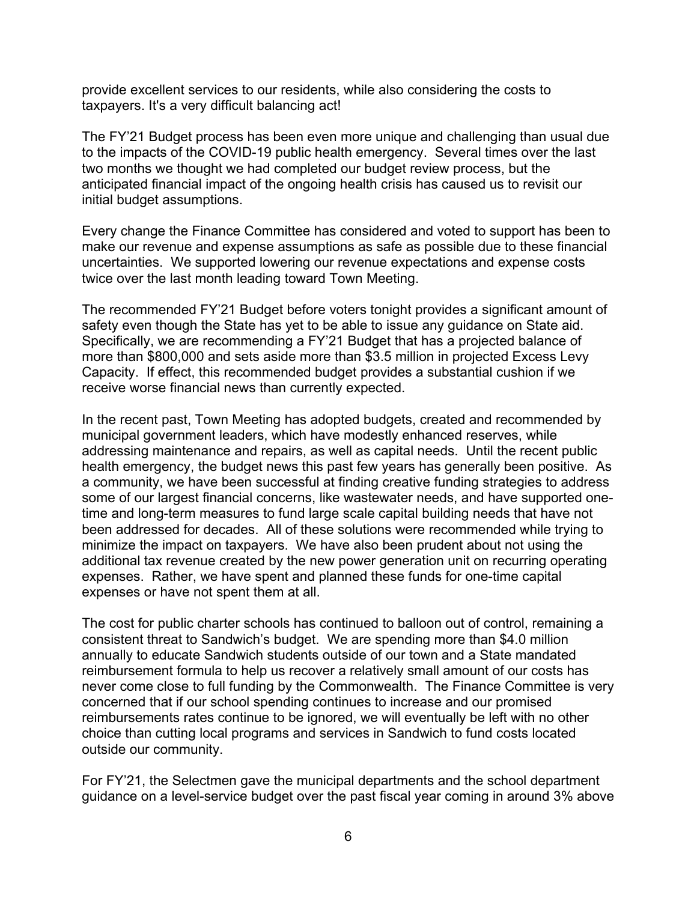provide excellent services to our residents, while also considering the costs to taxpayers. It's a very difficult balancing act!

The FY'21 Budget process has been even more unique and challenging than usual due to the impacts of the COVID-19 public health emergency. Several times over the last two months we thought we had completed our budget review process, but the anticipated financial impact of the ongoing health crisis has caused us to revisit our initial budget assumptions.

Every change the Finance Committee has considered and voted to support has been to make our revenue and expense assumptions as safe as possible due to these financial uncertainties. We supported lowering our revenue expectations and expense costs twice over the last month leading toward Town Meeting.

The recommended FY'21 Budget before voters tonight provides a significant amount of safety even though the State has yet to be able to issue any guidance on State aid. Specifically, we are recommending a FY'21 Budget that has a projected balance of more than \$800,000 and sets aside more than \$3.5 million in projected Excess Levy Capacity. If effect, this recommended budget provides a substantial cushion if we receive worse financial news than currently expected.

In the recent past, Town Meeting has adopted budgets, created and recommended by municipal government leaders, which have modestly enhanced reserves, while addressing maintenance and repairs, as well as capital needs. Until the recent public health emergency, the budget news this past few years has generally been positive. As a community, we have been successful at finding creative funding strategies to address some of our largest financial concerns, like wastewater needs, and have supported onetime and long-term measures to fund large scale capital building needs that have not been addressed for decades. All of these solutions were recommended while trying to minimize the impact on taxpayers. We have also been prudent about not using the additional tax revenue created by the new power generation unit on recurring operating expenses. Rather, we have spent and planned these funds for one-time capital expenses or have not spent them at all.

The cost for public charter schools has continued to balloon out of control, remaining a consistent threat to Sandwich's budget. We are spending more than \$4.0 million annually to educate Sandwich students outside of our town and a State mandated reimbursement formula to help us recover a relatively small amount of our costs has never come close to full funding by the Commonwealth. The Finance Committee is very concerned that if our school spending continues to increase and our promised reimbursements rates continue to be ignored, we will eventually be left with no other choice than cutting local programs and services in Sandwich to fund costs located outside our community.

For FY'21, the Selectmen gave the municipal departments and the school department guidance on a level-service budget over the past fiscal year coming in around 3% above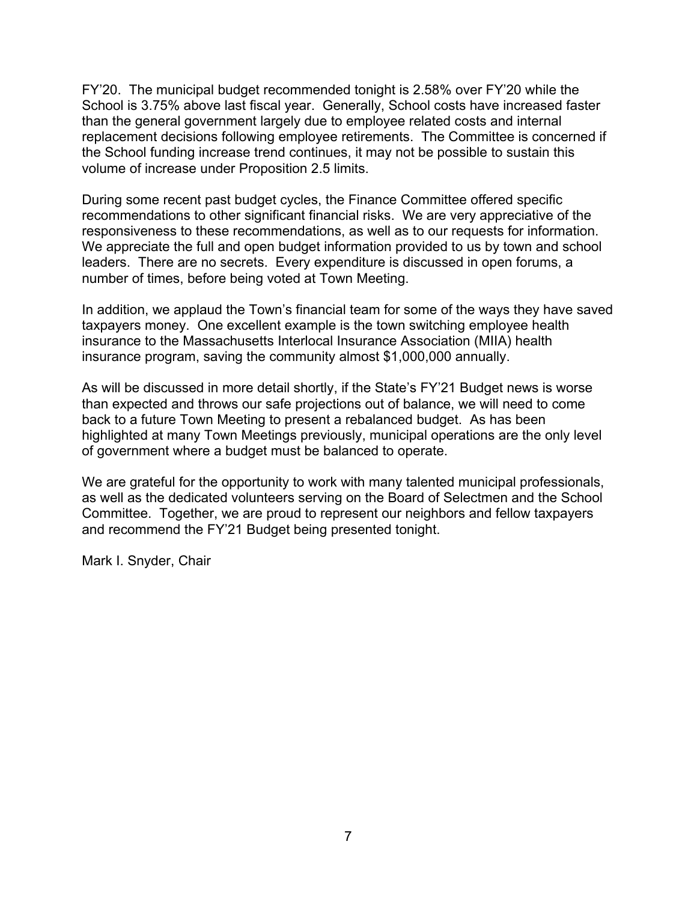FY'20. The municipal budget recommended tonight is 2.58% over FY'20 while the School is 3.75% above last fiscal year. Generally, School costs have increased faster than the general government largely due to employee related costs and internal replacement decisions following employee retirements. The Committee is concerned if the School funding increase trend continues, it may not be possible to sustain this volume of increase under Proposition 2.5 limits.

During some recent past budget cycles, the Finance Committee offered specific recommendations to other significant financial risks. We are very appreciative of the responsiveness to these recommendations, as well as to our requests for information. We appreciate the full and open budget information provided to us by town and school leaders. There are no secrets. Every expenditure is discussed in open forums, a number of times, before being voted at Town Meeting.

In addition, we applaud the Town's financial team for some of the ways they have saved taxpayers money. One excellent example is the town switching employee health insurance to the Massachusetts Interlocal Insurance Association (MIIA) health insurance program, saving the community almost \$1,000,000 annually.

As will be discussed in more detail shortly, if the State's FY'21 Budget news is worse than expected and throws our safe projections out of balance, we will need to come back to a future Town Meeting to present a rebalanced budget. As has been highlighted at many Town Meetings previously, municipal operations are the only level of government where a budget must be balanced to operate.

We are grateful for the opportunity to work with many talented municipal professionals, as well as the dedicated volunteers serving on the Board of Selectmen and the School Committee. Together, we are proud to represent our neighbors and fellow taxpayers and recommend the FY'21 Budget being presented tonight.

Mark I. Snyder, Chair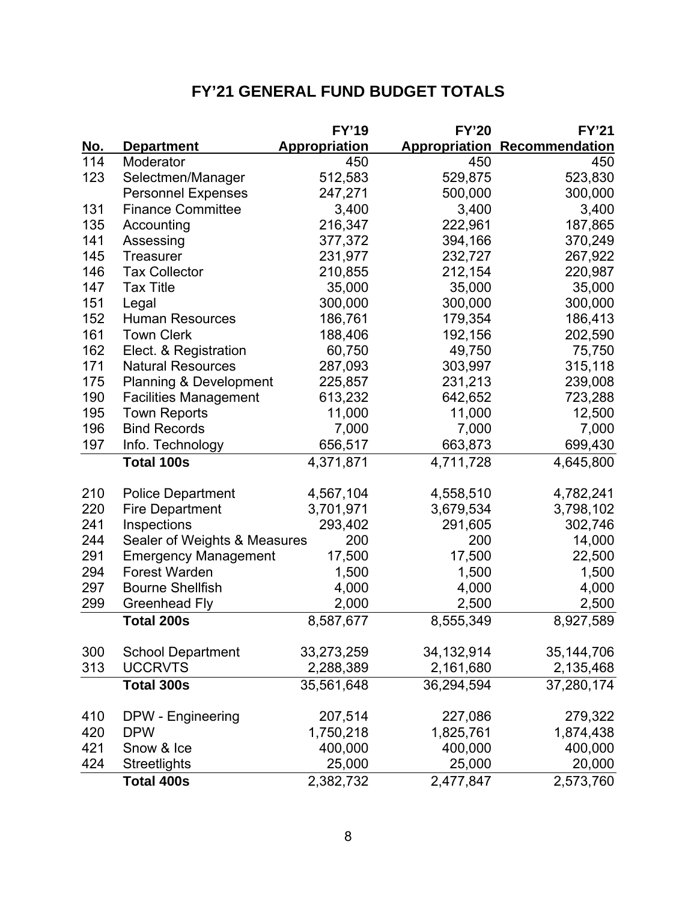# **FY'21 GENERAL FUND BUDGET TOTALS**

|     |                                   | <b>FY'19</b>  | <b>FY'20</b>         | <b>FY'21</b>   |  |
|-----|-----------------------------------|---------------|----------------------|----------------|--|
| No. | <b>Department</b>                 | Appropriation | <b>Appropriation</b> | Recommendation |  |
| 114 | Moderator                         | 450           | 450                  | 450            |  |
| 123 | Selectmen/Manager                 | 512,583       | 529,875              | 523,830        |  |
|     | <b>Personnel Expenses</b>         | 247,271       | 500,000              | 300,000        |  |
| 131 | <b>Finance Committee</b>          | 3,400         | 3,400                | 3,400          |  |
| 135 | Accounting                        | 216,347       | 222,961              | 187,865        |  |
| 141 | Assessing                         | 377,372       | 394,166              | 370,249        |  |
| 145 | <b>Treasurer</b>                  | 231,977       | 232,727              | 267,922        |  |
| 146 | <b>Tax Collector</b>              | 210,855       | 212,154              | 220,987        |  |
| 147 | <b>Tax Title</b>                  | 35,000        | 35,000               | 35,000         |  |
| 151 | Legal                             | 300,000       | 300,000              | 300,000        |  |
| 152 | <b>Human Resources</b>            | 186,761       | 179,354              | 186,413        |  |
| 161 | <b>Town Clerk</b>                 | 188,406       | 192,156              | 202,590        |  |
| 162 | Elect. & Registration             | 60,750        | 49,750               | 75,750         |  |
| 171 | <b>Natural Resources</b>          | 287,093       | 303,997              | 315,118        |  |
| 175 | <b>Planning &amp; Development</b> | 225,857       | 231,213              | 239,008        |  |
| 190 | <b>Facilities Management</b>      | 613,232       | 642,652              | 723,288        |  |
| 195 | <b>Town Reports</b>               | 11,000        | 11,000               | 12,500         |  |
| 196 | <b>Bind Records</b>               | 7,000         | 7,000                | 7,000          |  |
| 197 | Info. Technology                  | 656,517       | 663,873              | 699,430        |  |
|     | <b>Total 100s</b>                 | 4,371,871     | 4,711,728            | 4,645,800      |  |
|     |                                   |               |                      |                |  |
| 210 | <b>Police Department</b>          | 4,567,104     | 4,558,510            | 4,782,241      |  |
| 220 | <b>Fire Department</b>            | 3,701,971     | 3,679,534            | 3,798,102      |  |
| 241 | Inspections                       | 293,402       | 291,605              | 302,746        |  |
| 244 | Sealer of Weights & Measures      | 200           | 200                  | 14,000         |  |
| 291 | <b>Emergency Management</b>       | 17,500        | 17,500               | 22,500         |  |
| 294 | <b>Forest Warden</b>              | 1,500         | 1,500                | 1,500          |  |
| 297 | <b>Bourne Shellfish</b>           | 4,000         | 4,000                | 4,000          |  |
| 299 | <b>Greenhead Fly</b>              | 2,000         | 2,500                | 2,500          |  |
|     | <b>Total 200s</b>                 | 8,587,677     | 8,555,349            | 8,927,589      |  |
| 300 | <b>School Department</b>          | 33,273,259    | 34, 132, 914         | 35,144,706     |  |
| 313 | <b>UCCRVTS</b>                    | 2,288,389     | 2,161,680            | 2,135,468      |  |
|     | <b>Total 300s</b>                 | 35,561,648    | 36,294,594           | 37,280,174     |  |
|     |                                   |               |                      |                |  |
| 410 | DPW - Engineering                 | 207,514       | 227,086              | 279,322        |  |
| 420 | <b>DPW</b>                        | 1,750,218     | 1,825,761            | 1,874,438      |  |
| 421 | Snow & Ice                        | 400,000       | 400,000              | 400,000        |  |
| 424 | <b>Streetlights</b>               | 25,000        | 25,000               | 20,000         |  |
|     | <b>Total 400s</b>                 | 2,382,732     | 2,477,847            | 2,573,760      |  |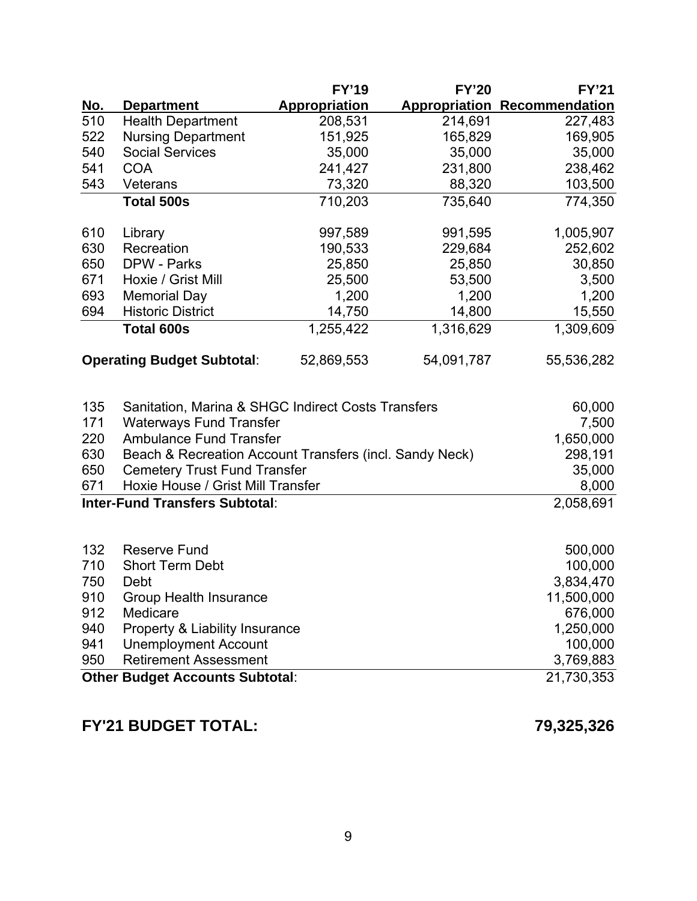|                                        |                                                         | <b>FY'19</b>         | <b>FY'20</b> | <b>FY'21</b>                        |
|----------------------------------------|---------------------------------------------------------|----------------------|--------------|-------------------------------------|
| <u>No.</u>                             | <b>Department</b>                                       | <b>Appropriation</b> |              | <b>Appropriation Recommendation</b> |
| 510                                    | <b>Health Department</b>                                | 208,531              | 214,691      | 227,483                             |
| 522                                    | <b>Nursing Department</b>                               | 151,925              | 165,829      | 169,905                             |
| 540                                    | <b>Social Services</b>                                  | 35,000               | 35,000       | 35,000                              |
| 541                                    | <b>COA</b>                                              | 241,427              | 231,800      | 238,462                             |
| 543                                    | Veterans                                                | 73,320               | 88,320       | 103,500                             |
|                                        | <b>Total 500s</b>                                       | 710,203              | 735,640      | 774,350                             |
|                                        |                                                         |                      |              |                                     |
| 610                                    | Library<br>Recreation                                   | 997,589              | 991,595      | 1,005,907                           |
| 630<br>650                             | <b>DPW - Parks</b>                                      | 190,533<br>25,850    | 229,684      | 252,602                             |
| 671                                    | Hoxie / Grist Mill                                      | 25,500               | 25,850       | 30,850                              |
| 693                                    |                                                         | 1,200                | 53,500       | 3,500                               |
| 694                                    | <b>Memorial Day</b><br><b>Historic District</b>         |                      | 1,200        | 1,200                               |
|                                        |                                                         | 14,750               | 14,800       | 15,550                              |
|                                        | <b>Total 600s</b>                                       | 1,255,422            | 1,316,629    | 1,309,609                           |
|                                        | <b>Operating Budget Subtotal:</b>                       | 52,869,553           | 54,091,787   | 55,536,282                          |
|                                        |                                                         |                      |              |                                     |
| 135                                    | Sanitation, Marina & SHGC Indirect Costs Transfers      |                      |              | 60,000                              |
| 171                                    | <b>Waterways Fund Transfer</b>                          |                      |              | 7,500                               |
| 220                                    | <b>Ambulance Fund Transfer</b>                          |                      |              | 1,650,000                           |
| 630                                    | Beach & Recreation Account Transfers (incl. Sandy Neck) |                      |              | 298,191                             |
| 650                                    | <b>Cemetery Trust Fund Transfer</b>                     |                      |              | 35,000                              |
| 671                                    | Hoxie House / Grist Mill Transfer                       |                      |              | 8,000                               |
|                                        | <b>Inter-Fund Transfers Subtotal:</b>                   |                      |              | 2,058,691                           |
|                                        |                                                         |                      |              |                                     |
| 132                                    | <b>Reserve Fund</b>                                     |                      |              | 500,000                             |
| 710                                    | <b>Short Term Debt</b>                                  |                      |              | 100,000                             |
| 750                                    | Debt                                                    |                      |              | 3,834,470                           |
| 910                                    | <b>Group Health Insurance</b>                           |                      |              | 11,500,000                          |
| 912                                    | Medicare                                                |                      |              | 676,000                             |
| 940                                    | Property & Liability Insurance                          |                      |              | 1,250,000                           |
| 941                                    | <b>Unemployment Account</b>                             |                      |              | 100,000                             |
| 950                                    | <b>Retirement Assessment</b>                            | 3,769,883            |              |                                     |
| <b>Other Budget Accounts Subtotal:</b> | 21,730,353                                              |                      |              |                                     |
|                                        |                                                         |                      |              |                                     |

# **FY'21 BUDGET TOTAL: 79,325,326**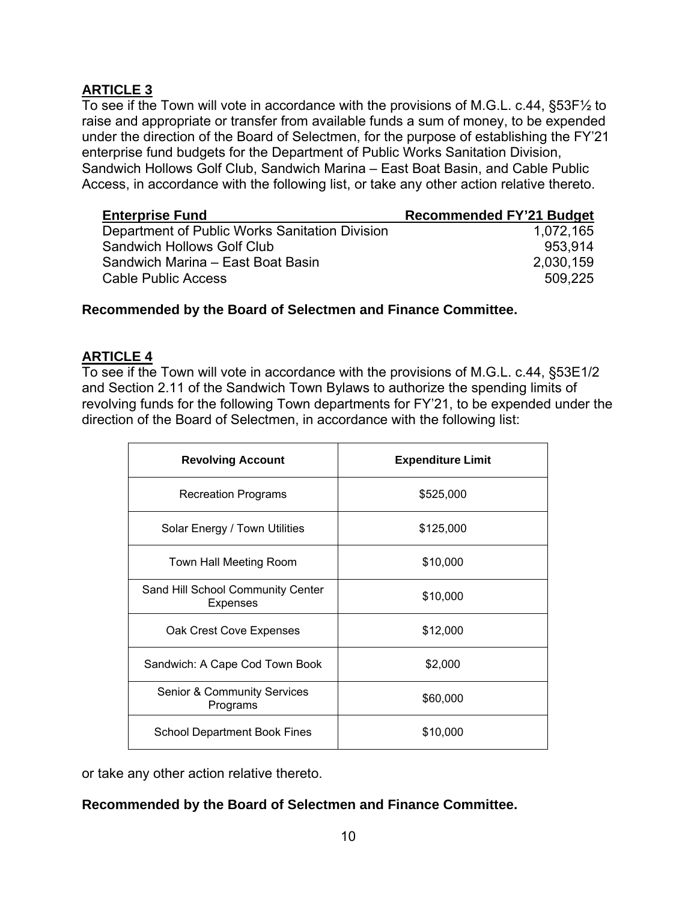<span id="page-9-0"></span>To see if the Town will vote in accordance with the provisions of M.G.L. c.44, §53F½ to raise and appropriate or transfer from available funds a sum of money, to be expended under the direction of the Board of Selectmen, for the purpose of establishing the FY'21 enterprise fund budgets for the Department of Public Works Sanitation Division, Sandwich Hollows Golf Club, Sandwich Marina – East Boat Basin, and Cable Public Access, in accordance with the following list, or take any other action relative thereto.

| <b>Enterprise Fund</b>                         | <b>Recommended FY'21 Budget</b> |
|------------------------------------------------|---------------------------------|
| Department of Public Works Sanitation Division | 1,072,165                       |
| <b>Sandwich Hollows Golf Club</b>              | 953.914                         |
| Sandwich Marina - East Boat Basin              | 2,030,159                       |
| <b>Cable Public Access</b>                     | 509.225                         |

#### **Recommended by the Board of Selectmen and Finance Committee.**

#### **ARTICLE 4**

To see if the Town will vote in accordance with the provisions of M.G.L. c.44, §53E1/2 and Section 2.11 of the Sandwich Town Bylaws to authorize the spending limits of revolving funds for the following Town departments for FY'21, to be expended under the direction of the Board of Selectmen, in accordance with the following list:

| <b>Revolving Account</b>                             | <b>Expenditure Limit</b> |  |  |
|------------------------------------------------------|--------------------------|--|--|
| <b>Recreation Programs</b>                           | \$525,000                |  |  |
| Solar Energy / Town Utilities                        | \$125,000                |  |  |
| Town Hall Meeting Room                               | \$10,000                 |  |  |
| Sand Hill School Community Center<br><b>Expenses</b> | \$10,000                 |  |  |
| Oak Crest Cove Expenses                              | \$12,000                 |  |  |
| Sandwich: A Cape Cod Town Book                       | \$2,000                  |  |  |
| <b>Senior &amp; Community Services</b><br>Programs   | \$60,000                 |  |  |
| <b>School Department Book Fines</b>                  | \$10,000                 |  |  |

or take any other action relative thereto.

#### **Recommended by the Board of Selectmen and Finance Committee.**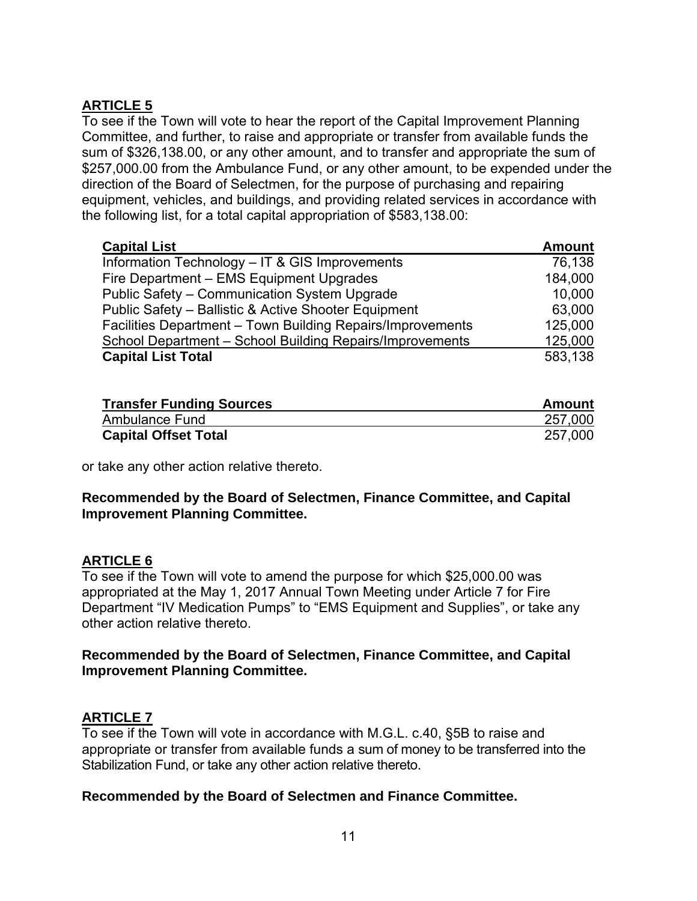<span id="page-10-0"></span>To see if the Town will vote to hear the report of the Capital Improvement Planning Committee, and further, to raise and appropriate or transfer from available funds the sum of \$326,138.00, or any other amount, and to transfer and appropriate the sum of \$257,000.00 from the Ambulance Fund, or any other amount, to be expended under the direction of the Board of Selectmen, for the purpose of purchasing and repairing equipment, vehicles, and buildings, and providing related services in accordance with the following list, for a total capital appropriation of \$583,138.00:

| <b>Capital List</b>                                        | <b>Amount</b> |
|------------------------------------------------------------|---------------|
| Information Technology - IT & GIS Improvements             | 76,138        |
| Fire Department - EMS Equipment Upgrades                   | 184,000       |
| Public Safety - Communication System Upgrade               | 10,000        |
| Public Safety - Ballistic & Active Shooter Equipment       | 63,000        |
| Facilities Department - Town Building Repairs/Improvements | 125,000       |
| School Department - School Building Repairs/Improvements   | 125,000       |
| <b>Capital List Total</b>                                  | 583,138       |

| <b>Transfer Funding Sources</b> | Amount  |
|---------------------------------|---------|
| Ambulance Fund                  | 257,000 |
| <b>Capital Offset Total</b>     | 257,000 |

or take any other action relative thereto.

#### **Recommended by the Board of Selectmen, Finance Committee, and Capital Improvement Planning Committee.**

#### **ARTICLE 6**

To see if the Town will vote to amend the purpose for which \$25,000.00 was appropriated at the May 1, 2017 Annual Town Meeting under Article 7 for Fire Department "IV Medication Pumps" to "EMS Equipment and Supplies", or take any other action relative thereto.

#### **Recommended by the Board of Selectmen, Finance Committee, and Capital Improvement Planning Committee.**

## **ARTICLE 7**

To see if the Town will vote in accordance with M.G.L. c.40, §5B to raise and appropriate or transfer from available funds a sum of money to be transferred into the Stabilization Fund, or take any other action relative thereto.

#### **Recommended by the Board of Selectmen and Finance Committee.**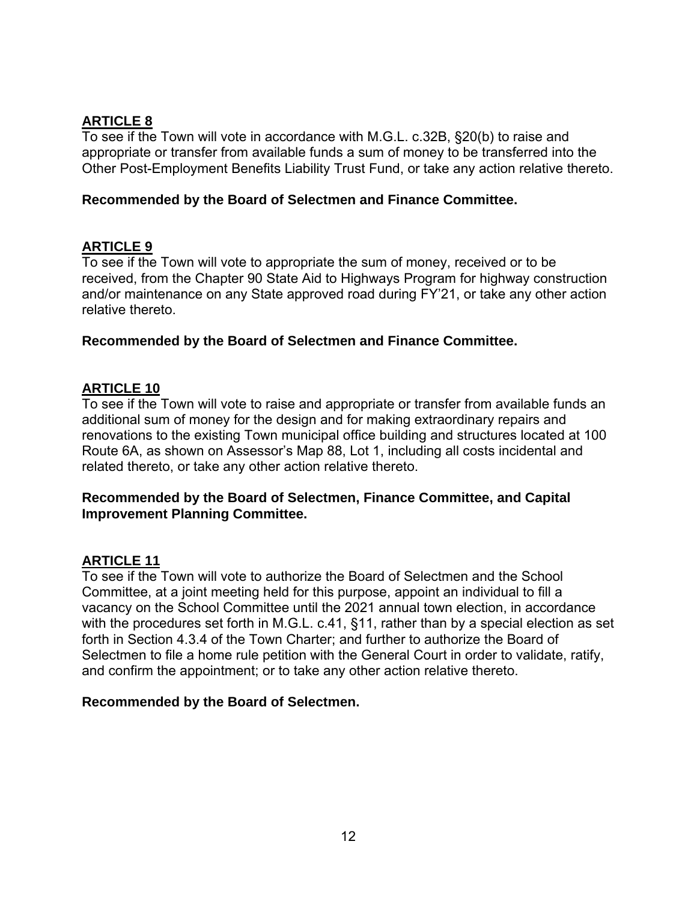<span id="page-11-0"></span>To see if the Town will vote in accordance with M.G.L. c.32B, §20(b) to raise and appropriate or transfer from available funds a sum of money to be transferred into the Other Post-Employment Benefits Liability Trust Fund, or take any action relative thereto.

#### **Recommended by the Board of Selectmen and Finance Committee.**

#### **ARTICLE 9**

To see if the Town will vote to appropriate the sum of money, received or to be received, from the Chapter 90 State Aid to Highways Program for highway construction and/or maintenance on any State approved road during FY'21, or take any other action relative thereto.

#### **Recommended by the Board of Selectmen and Finance Committee.**

#### **ARTICLE 10**

To see if the Town will vote to raise and appropriate or transfer from available funds an additional sum of money for the design and for making extraordinary repairs and renovations to the existing Town municipal office building and structures located at 100 Route 6A, as shown on Assessor's Map 88, Lot 1, including all costs incidental and related thereto, or take any other action relative thereto.

#### **Recommended by the Board of Selectmen, Finance Committee, and Capital Improvement Planning Committee.**

#### **ARTICLE 11**

To see if the Town will vote to authorize the Board of Selectmen and the School Committee, at a joint meeting held for this purpose, appoint an individual to fill a vacancy on the School Committee until the 2021 annual town election, in accordance with the procedures set forth in M.G.L. c.41, §11, rather than by a special election as set forth in Section 4.3.4 of the Town Charter; and further to authorize the Board of Selectmen to file a home rule petition with the General Court in order to validate, ratify, and confirm the appointment; or to take any other action relative thereto.

#### **Recommended by the Board of Selectmen.**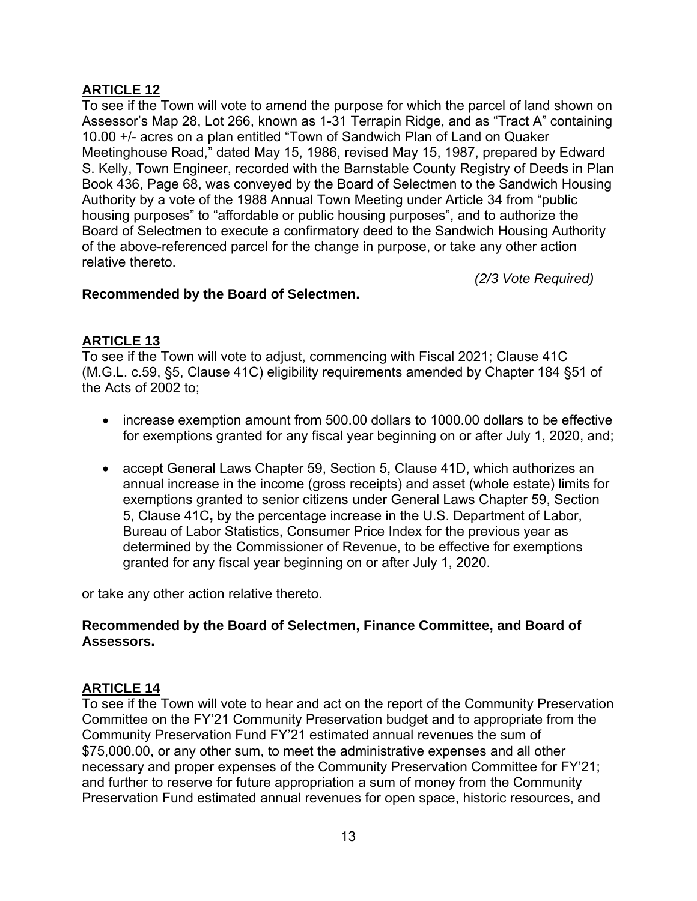<span id="page-12-0"></span>To see if the Town will vote to amend the purpose for which the parcel of land shown on Assessor's Map 28, Lot 266, known as 1-31 Terrapin Ridge, and as "Tract A" containing 10.00 +/- acres on a plan entitled "Town of Sandwich Plan of Land on Quaker Meetinghouse Road," dated May 15, 1986, revised May 15, 1987, prepared by Edward S. Kelly, Town Engineer, recorded with the Barnstable County Registry of Deeds in Plan Book 436, Page 68, was conveyed by the Board of Selectmen to the Sandwich Housing Authority by a vote of the 1988 Annual Town Meeting under Article 34 from "public housing purposes" to "affordable or public housing purposes", and to authorize the Board of Selectmen to execute a confirmatory deed to the Sandwich Housing Authority of the above-referenced parcel for the change in purpose, or take any other action relative thereto.

*(2/3 Vote Required)*

#### **Recommended by the Board of Selectmen.**

### **ARTICLE 13**

To see if the Town will vote to adjust, commencing with Fiscal 2021; Clause 41C (M.G.L. c.59, §5, Clause 41C) eligibility requirements amended by Chapter 184 §51 of the Acts of 2002 to;

- increase exemption amount from 500.00 dollars to 1000.00 dollars to be effective for exemptions granted for any fiscal year beginning on or after July 1, 2020, and;
- accept General Laws Chapter 59, Section 5, Clause 41D, which authorizes an annual increase in the income (gross receipts) and asset (whole estate) limits for exemptions granted to senior citizens under General Laws Chapter 59, Section 5, Clause 41C**,** by the percentage increase in the U.S. Department of Labor, Bureau of Labor Statistics, Consumer Price Index for the previous year as determined by the Commissioner of Revenue, to be effective for exemptions granted for any fiscal year beginning on or after July 1, 2020.

or take any other action relative thereto.

#### **Recommended by the Board of Selectmen, Finance Committee, and Board of Assessors.**

#### **ARTICLE 14**

To see if the Town will vote to hear and act on the report of the Community Preservation Committee on the FY'21 Community Preservation budget and to appropriate from the Community Preservation Fund FY'21 estimated annual revenues the sum of \$75,000.00, or any other sum, to meet the administrative expenses and all other necessary and proper expenses of the Community Preservation Committee for FY'21; and further to reserve for future appropriation a sum of money from the Community Preservation Fund estimated annual revenues for open space, historic resources, and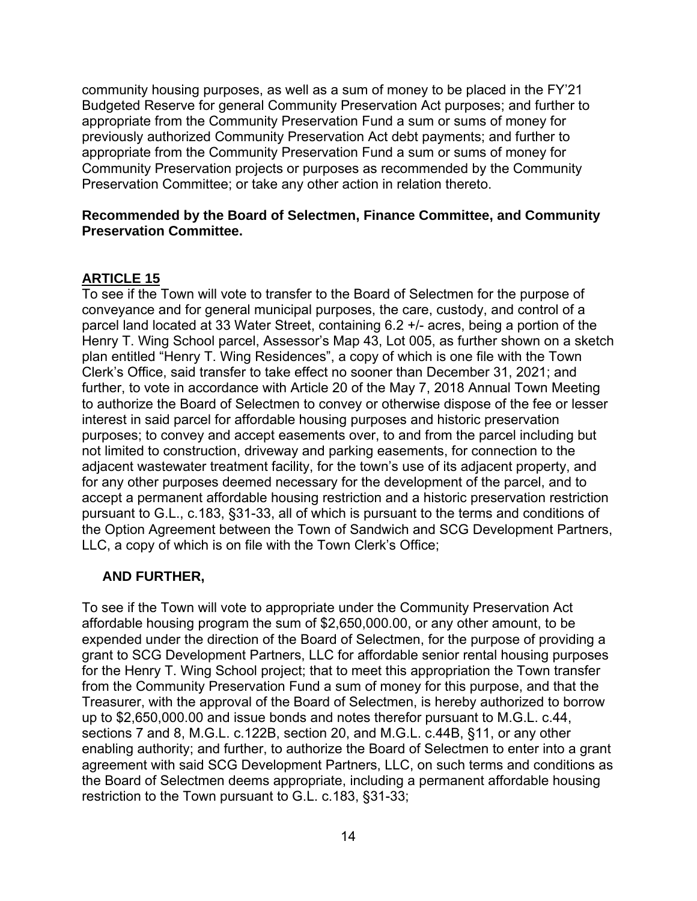<span id="page-13-0"></span>community housing purposes, as well as a sum of money to be placed in the FY'21 Budgeted Reserve for general Community Preservation Act purposes; and further to appropriate from the Community Preservation Fund a sum or sums of money for previously authorized Community Preservation Act debt payments; and further to appropriate from the Community Preservation Fund a sum or sums of money for Community Preservation projects or purposes as recommended by the Community Preservation Committee; or take any other action in relation thereto.

#### **Recommended by the Board of Selectmen, Finance Committee, and Community Preservation Committee.**

#### **ARTICLE 15**

To see if the Town will vote to transfer to the Board of Selectmen for the purpose of conveyance and for general municipal purposes, the care, custody, and control of a parcel land located at 33 Water Street, containing 6.2 +/- acres, being a portion of the Henry T. Wing School parcel, Assessor's Map 43, Lot 005, as further shown on a sketch plan entitled "Henry T. Wing Residences", a copy of which is one file with the Town Clerk's Office, said transfer to take effect no sooner than December 31, 2021; and further, to vote in accordance with Article 20 of the May 7, 2018 Annual Town Meeting to authorize the Board of Selectmen to convey or otherwise dispose of the fee or lesser interest in said parcel for affordable housing purposes and historic preservation purposes; to convey and accept easements over, to and from the parcel including but not limited to construction, driveway and parking easements, for connection to the adjacent wastewater treatment facility, for the town's use of its adjacent property, and for any other purposes deemed necessary for the development of the parcel, and to accept a permanent affordable housing restriction and a historic preservation restriction pursuant to G.L., c.183, §31-33, all of which is pursuant to the terms and conditions of the Option Agreement between the Town of Sandwich and SCG Development Partners, LLC, a copy of which is on file with the Town Clerk's Office;

#### **AND FURTHER,**

To see if the Town will vote to appropriate under the Community Preservation Act affordable housing program the sum of \$2,650,000.00, or any other amount, to be expended under the direction of the Board of Selectmen, for the purpose of providing a grant to SCG Development Partners, LLC for affordable senior rental housing purposes for the Henry T. Wing School project; that to meet this appropriation the Town transfer from the Community Preservation Fund a sum of money for this purpose, and that the Treasurer, with the approval of the Board of Selectmen, is hereby authorized to borrow up to \$2,650,000.00 and issue bonds and notes therefor pursuant to M.G.L. c.44, sections 7 and 8, M.G.L. c.122B, section 20, and M.G.L. c.44B, §11, or any other enabling authority; and further, to authorize the Board of Selectmen to enter into a grant agreement with said SCG Development Partners, LLC, on such terms and conditions as the Board of Selectmen deems appropriate, including a permanent affordable housing restriction to the Town pursuant to G.L. c.183, §31-33;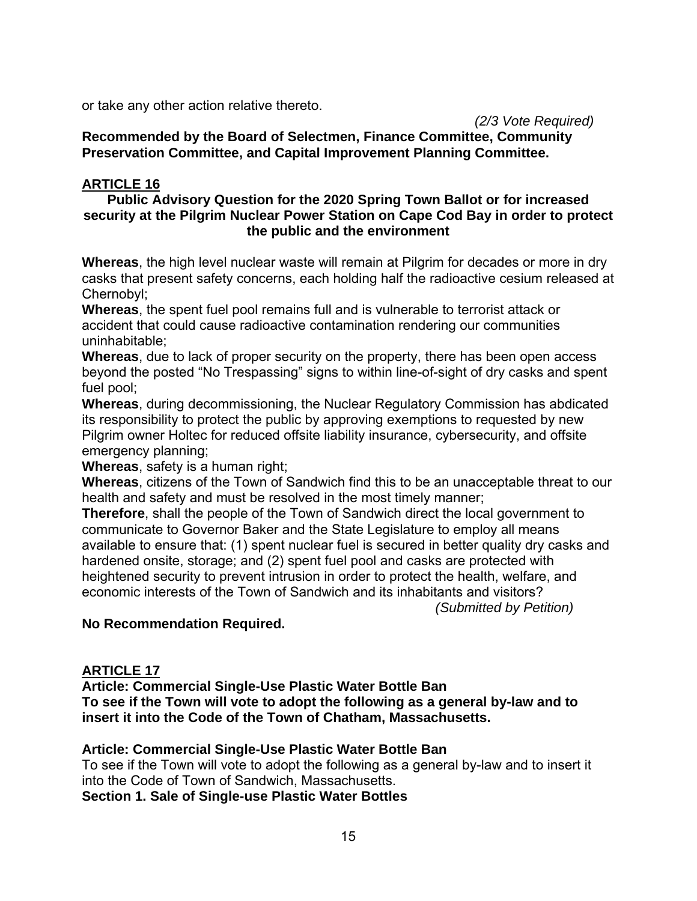or take any other action relative thereto.

#### *(2/3 Vote Required)*

**Recommended by the Board of Selectmen, Finance Committee, Community Preservation Committee, and Capital Improvement Planning Committee.** 

#### **ARTICLE 16**

#### **Public Advisory Question for the 2020 Spring Town Ballot or for increased security at the Pilgrim Nuclear Power Station on Cape Cod Bay in order to protect the public and the environment**

**Whereas**, the high level nuclear waste will remain at Pilgrim for decades or more in dry casks that present safety concerns, each holding half the radioactive cesium released at Chernobyl;

**Whereas**, the spent fuel pool remains full and is vulnerable to terrorist attack or accident that could cause radioactive contamination rendering our communities uninhabitable;

**Whereas**, due to lack of proper security on the property, there has been open access beyond the posted "No Trespassing" signs to within line-of-sight of dry casks and spent fuel pool;

**Whereas**, during decommissioning, the Nuclear Regulatory Commission has abdicated its responsibility to protect the public by approving exemptions to requested by new Pilgrim owner Holtec for reduced offsite liability insurance, cybersecurity, and offsite emergency planning;

**Whereas**, safety is a human right;

**Whereas**, citizens of the Town of Sandwich find this to be an unacceptable threat to our health and safety and must be resolved in the most timely manner;

**Therefore**, shall the people of the Town of Sandwich direct the local government to communicate to Governor Baker and the State Legislature to employ all means available to ensure that: (1) spent nuclear fuel is secured in better quality dry casks and hardened onsite, storage; and (2) spent fuel pool and casks are protected with heightened security to prevent intrusion in order to protect the health, welfare, and economic interests of the Town of Sandwich and its inhabitants and visitors?

*(Submitted by Petition)*

#### **No Recommendation Required.**

#### **ARTICLE 17**

**Article: Commercial Single-Use Plastic Water Bottle Ban**

**To see if the Town will vote to adopt the following as a general by-law and to insert it into the Code of the Town of Chatham, Massachusetts.**

#### **Article: Commercial Single-Use Plastic Water Bottle Ban**

To see if the Town will vote to adopt the following as a general by-law and to insert it into the Code of Town of Sandwich, Massachusetts.

**Section 1. Sale of Single-use Plastic Water Bottles**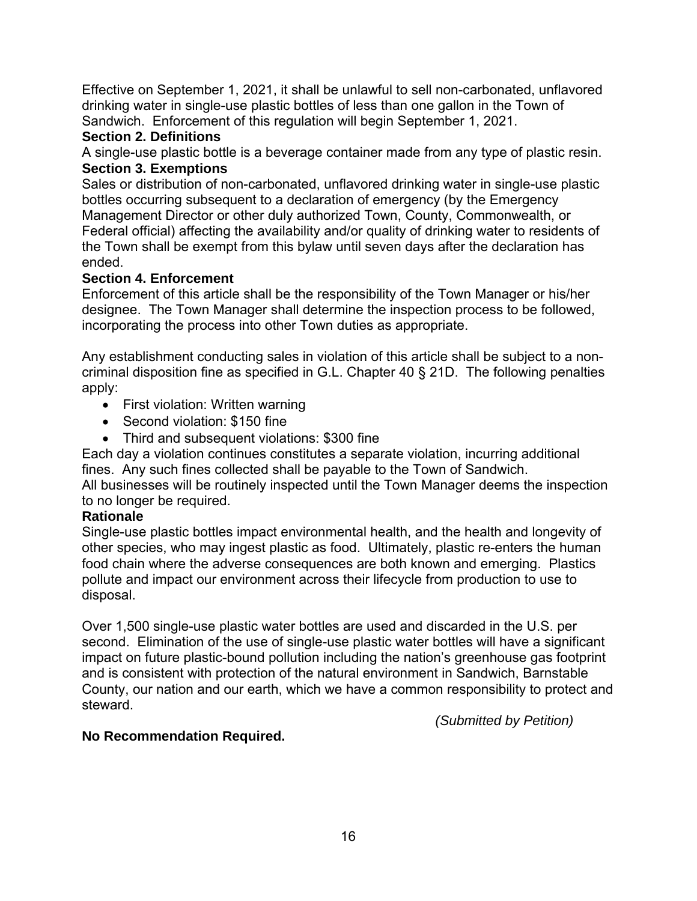Effective on September 1, 2021, it shall be unlawful to sell non-carbonated, unflavored drinking water in single-use plastic bottles of less than one gallon in the Town of Sandwich. Enforcement of this regulation will begin September 1, 2021.

### **Section 2. Definitions**

A single-use plastic bottle is a beverage container made from any type of plastic resin. **Section 3. Exemptions**

Sales or distribution of non-carbonated, unflavored drinking water in single-use plastic bottles occurring subsequent to a declaration of emergency (by the Emergency Management Director or other duly authorized Town, County, Commonwealth, or Federal official) affecting the availability and/or quality of drinking water to residents of the Town shall be exempt from this bylaw until seven days after the declaration has ended.

### **Section 4. Enforcement**

Enforcement of this article shall be the responsibility of the Town Manager or his/her designee. The Town Manager shall determine the inspection process to be followed, incorporating the process into other Town duties as appropriate.

Any establishment conducting sales in violation of this article shall be subject to a noncriminal disposition fine as specified in G.L. Chapter 40 § 21D. The following penalties apply:

- First violation: Written warning
- Second violation: \$150 fine
- Third and subsequent violations: \$300 fine

Each day a violation continues constitutes a separate violation, incurring additional fines. Any such fines collected shall be payable to the Town of Sandwich.

All businesses will be routinely inspected until the Town Manager deems the inspection to no longer be required.

## **Rationale**

Single-use plastic bottles impact environmental health, and the health and longevity of other species, who may ingest plastic as food. Ultimately, plastic re-enters the human food chain where the adverse consequences are both known and emerging. Plastics pollute and impact our environment across their lifecycle from production to use to disposal.

Over 1,500 single-use plastic water bottles are used and discarded in the U.S. per second. Elimination of the use of single-use plastic water bottles will have a significant impact on future plastic-bound pollution including the nation's greenhouse gas footprint and is consistent with protection of the natural environment in Sandwich, Barnstable County, our nation and our earth, which we have a common responsibility to protect and steward.

*(Submitted by Petition)*

#### **No Recommendation Required.**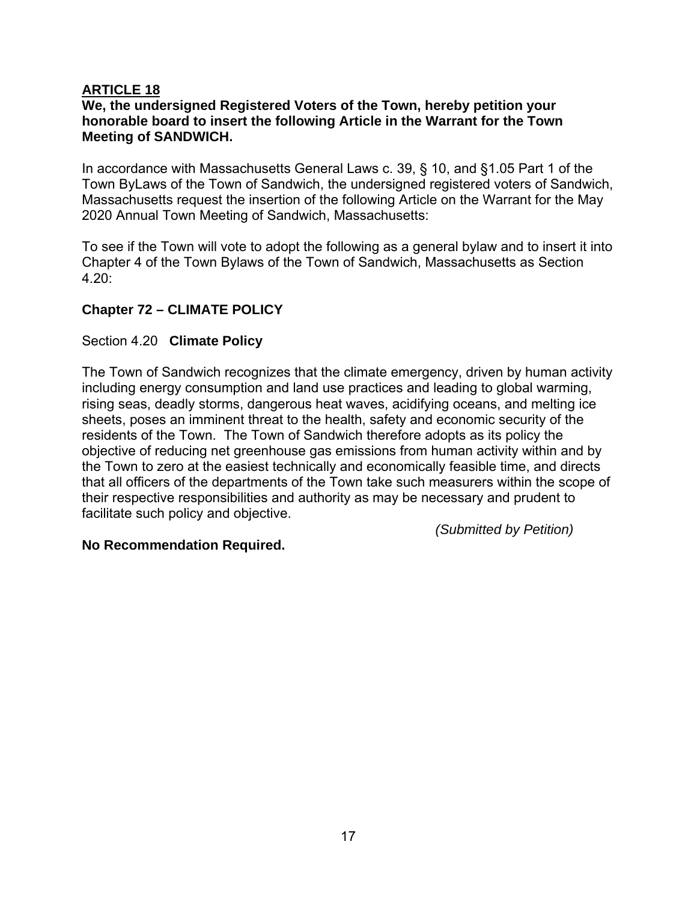#### <span id="page-16-0"></span>**We, the undersigned Registered Voters of the Town, hereby petition your honorable board to insert the following Article in the Warrant for the Town Meeting of SANDWICH.**

In accordance with Massachusetts General Laws c. 39, § 10, and §1.05 Part 1 of the Town ByLaws of the Town of Sandwich, the undersigned registered voters of Sandwich, Massachusetts request the insertion of the following Article on the Warrant for the May 2020 Annual Town Meeting of Sandwich, Massachusetts:

To see if the Town will vote to adopt the following as a general bylaw and to insert it into Chapter 4 of the Town Bylaws of the Town of Sandwich, Massachusetts as Section 4.20:

#### **Chapter 72 – CLIMATE POLICY**

#### Section 4.20 **Climate Policy**

The Town of Sandwich recognizes that the climate emergency, driven by human activity including energy consumption and land use practices and leading to global warming, rising seas, deadly storms, dangerous heat waves, acidifying oceans, and melting ice sheets, poses an imminent threat to the health, safety and economic security of the residents of the Town. The Town of Sandwich therefore adopts as its policy the objective of reducing net greenhouse gas emissions from human activity within and by the Town to zero at the easiest technically and economically feasible time, and directs that all officers of the departments of the Town take such measurers within the scope of their respective responsibilities and authority as may be necessary and prudent to facilitate such policy and objective.

*(Submitted by Petition)*

#### **No Recommendation Required.**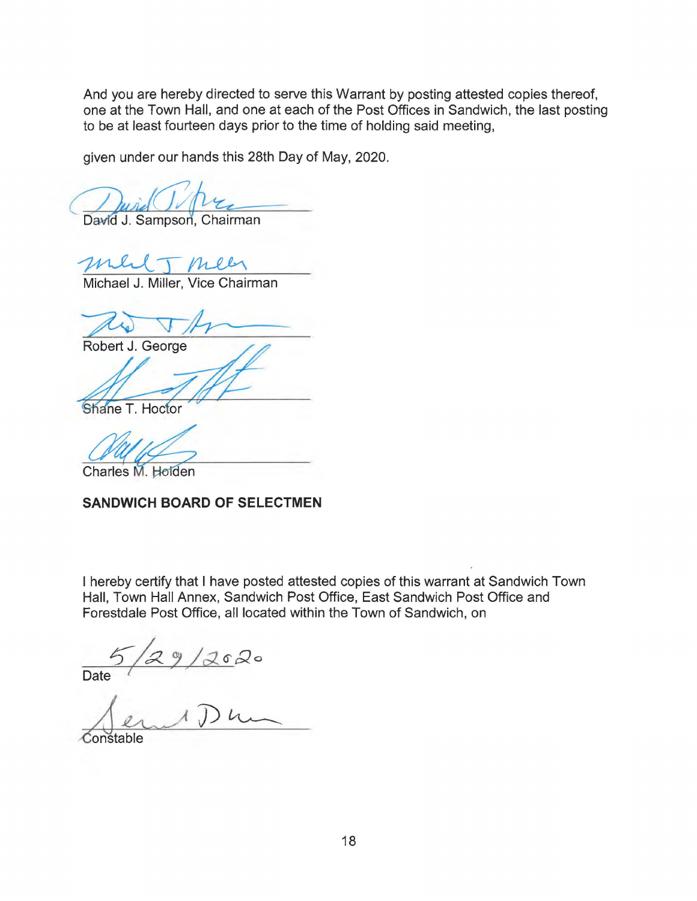And you are hereby directed to serve this Warrant by posting attested copies thereof, one at the Town Hall, and one at each of the Post Offices in Sandwich, the last posting to be at least fourteen days prior to the time of holding said meeting,

given under our hands this 28th Day of May, 2020.

David J. Sampson, Chairman

me meen

Michael J. Miller, Vice Chairman

Robert J. George

Shane T. Hoctor

Charles M. Holden

#### **SANDWICH BOARD OF SELECTMEN**

I hereby certify that I have posted attested copies of this warrant at Sandwich Town Hall, Town Hall Annex, Sandwich Post Office, East Sandwich Post Office and Forestdale Post Office, all located within the Town of Sandwich, on

 $9/2620$ Date

.Constable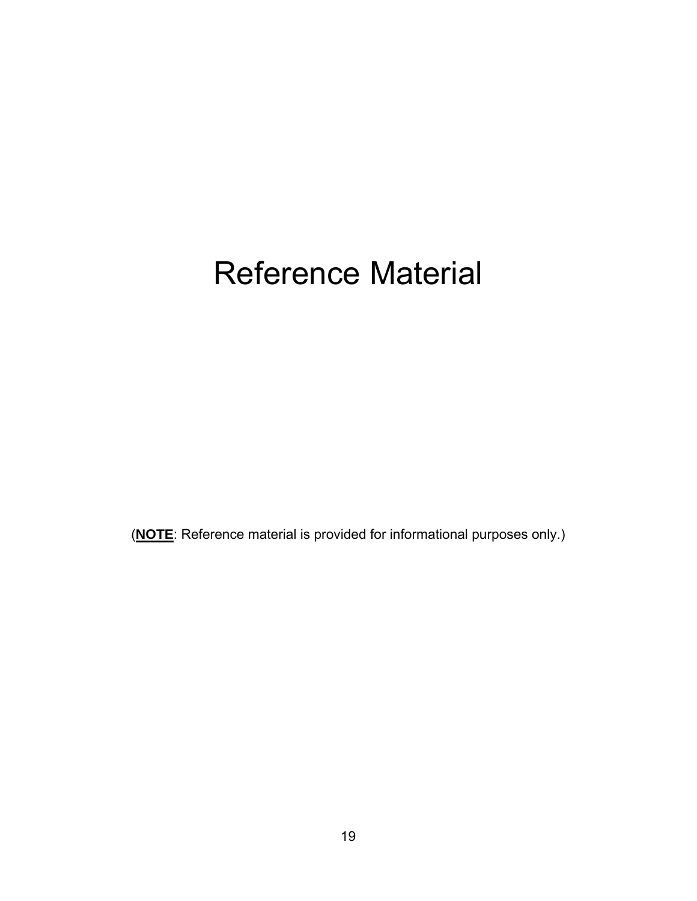# Reference Material

(**NOTE**: Reference material is provided for informational purposes only.)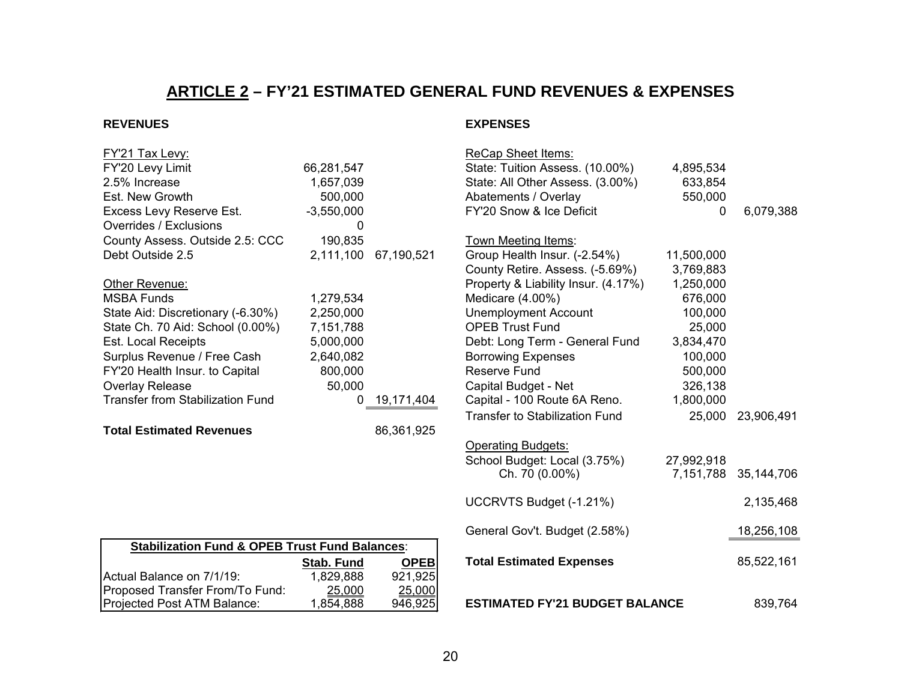# **ARTICLE 2 – FY'21 ESTIMATED GENERAL FUND REVENUES & EXPENSES**

#### <span id="page-19-0"></span>**REVENUES EXPENSES**

| <u> FY'21 Tax Levy:</u>                                   |              |             | <b>ReCap Sheet Items:</b>             |            |            |
|-----------------------------------------------------------|--------------|-------------|---------------------------------------|------------|------------|
| FY'20 Levy Limit                                          | 66,281,547   |             | State: Tuition Assess. (10.00%)       | 4,895,534  |            |
| 2.5% Increase                                             | 1,657,039    |             | State: All Other Assess. (3.00%)      | 633,854    |            |
| Est. New Growth                                           | 500,000      |             | Abatements / Overlay                  | 550,000    |            |
| Excess Levy Reserve Est.                                  | $-3,550,000$ |             | FY'20 Snow & Ice Deficit              | 0          | 6,079,388  |
| Overrides / Exclusions                                    | 0            |             |                                       |            |            |
| County Assess. Outside 2.5: CCC                           | 190,835      |             | Town Meeting Items:                   |            |            |
| Debt Outside 2.5                                          | 2,111,100    | 67,190,521  | Group Health Insur. (-2.54%)          | 11,500,000 |            |
|                                                           |              |             | County Retire. Assess. (-5.69%)       | 3,769,883  |            |
| Other Revenue:                                            |              |             | Property & Liability Insur. (4.17%)   | 1,250,000  |            |
| <b>MSBA Funds</b>                                         | 1,279,534    |             | Medicare (4.00%)                      | 676,000    |            |
| State Aid: Discretionary (-6.30%)                         | 2,250,000    |             | <b>Unemployment Account</b>           | 100,000    |            |
| State Ch. 70 Aid: School (0.00%)                          | 7,151,788    |             | <b>OPEB Trust Fund</b>                | 25,000     |            |
| Est. Local Receipts                                       | 5,000,000    |             | Debt: Long Term - General Fund        | 3,834,470  |            |
| Surplus Revenue / Free Cash                               | 2,640,082    |             | <b>Borrowing Expenses</b>             | 100,000    |            |
| FY'20 Health Insur. to Capital                            | 800,000      |             | <b>Reserve Fund</b>                   | 500,000    |            |
| Overlay Release                                           | 50,000       |             | Capital Budget - Net                  | 326,138    |            |
| <b>Transfer from Stabilization Fund</b>                   | $\Omega$     | 19,171,404  | Capital - 100 Route 6A Reno.          | 1,800,000  |            |
|                                                           |              |             | <b>Transfer to Stabilization Fund</b> | 25,000     | 23,906,491 |
| <b>Total Estimated Revenues</b>                           |              | 86,361,925  |                                       |            |            |
|                                                           |              |             | <b>Operating Budgets:</b>             |            |            |
|                                                           |              |             | School Budget: Local (3.75%)          | 27,992,918 |            |
|                                                           |              |             | Ch. 70 (0.00%)                        | 7,151,788  | 35,144,706 |
|                                                           |              |             | UCCRVTS Budget (-1.21%)               |            | 2,135,468  |
|                                                           |              |             | General Gov't. Budget (2.58%)         |            | 18,256,108 |
| <b>Stabilization Fund &amp; OPEB Trust Fund Balances:</b> |              |             |                                       |            |            |
|                                                           | Stab. Fund   | <b>OPEB</b> | <b>Total Estimated Expenses</b>       |            | 85,522,161 |
| Actual Balance on 7/1/19:                                 | 1,829,888    | 921,925     |                                       |            |            |
| Proposed Transfer From/To Fund:                           | 25.000       | 25,000      |                                       |            |            |
| Projected Post ATM Balance:                               | 1,854,888    | 946,925     | <b>ESTIMATED FY'21 BUDGET BALANCE</b> |            | 839,764    |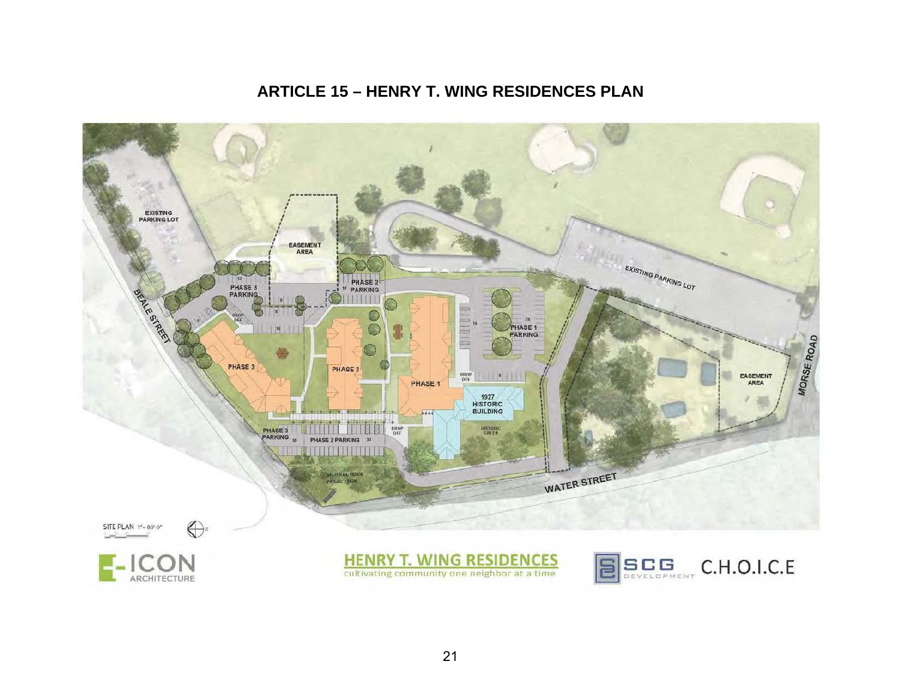# **ARTICLE 15 – HENRY T. WING RESIDENCES PLAN**

<span id="page-20-0"></span>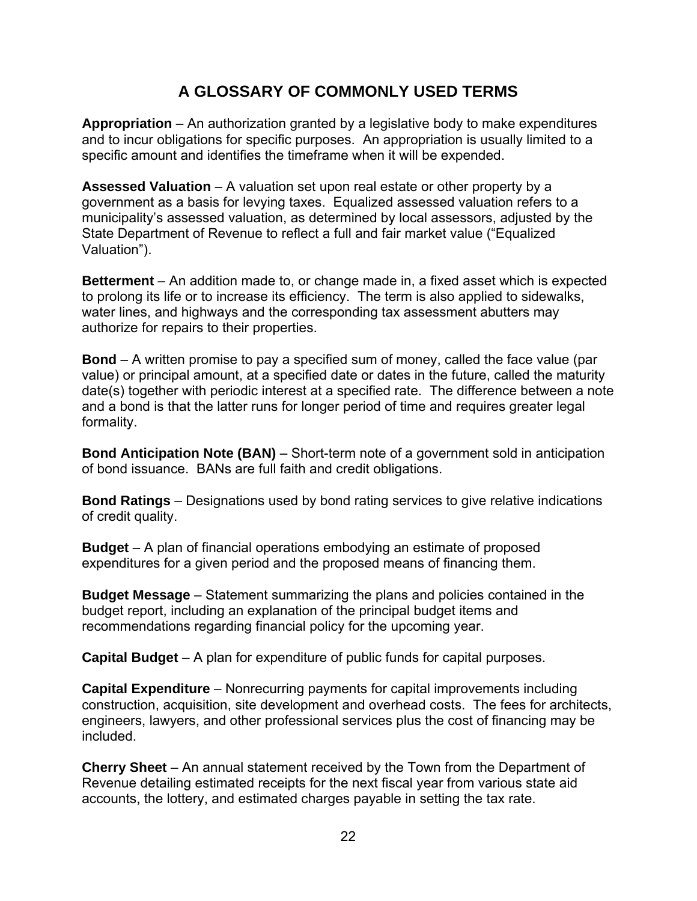# **A GLOSSARY OF COMMONLY USED TERMS**

<span id="page-21-0"></span>**Appropriation** – An authorization granted by a legislative body to make expenditures and to incur obligations for specific purposes. An appropriation is usually limited to a specific amount and identifies the timeframe when it will be expended.

**Assessed Valuation** – A valuation set upon real estate or other property by a government as a basis for levying taxes. Equalized assessed valuation refers to a municipality's assessed valuation, as determined by local assessors, adjusted by the State Department of Revenue to reflect a full and fair market value ("Equalized Valuation").

**Betterment** – An addition made to, or change made in, a fixed asset which is expected to prolong its life or to increase its efficiency. The term is also applied to sidewalks, water lines, and highways and the corresponding tax assessment abutters may authorize for repairs to their properties.

**Bond** – A written promise to pay a specified sum of money, called the face value (par value) or principal amount, at a specified date or dates in the future, called the maturity date(s) together with periodic interest at a specified rate. The difference between a note and a bond is that the latter runs for longer period of time and requires greater legal formality.

**Bond Anticipation Note (BAN)** – Short-term note of a government sold in anticipation of bond issuance. BANs are full faith and credit obligations.

**Bond Ratings** – Designations used by bond rating services to give relative indications of credit quality.

**Budget** – A plan of financial operations embodying an estimate of proposed expenditures for a given period and the proposed means of financing them.

**Budget Message** – Statement summarizing the plans and policies contained in the budget report, including an explanation of the principal budget items and recommendations regarding financial policy for the upcoming year.

**Capital Budget** – A plan for expenditure of public funds for capital purposes.

**Capital Expenditure** – Nonrecurring payments for capital improvements including construction, acquisition, site development and overhead costs. The fees for architects, engineers, lawyers, and other professional services plus the cost of financing may be included.

**Cherry Sheet** – An annual statement received by the Town from the Department of Revenue detailing estimated receipts for the next fiscal year from various state aid accounts, the lottery, and estimated charges payable in setting the tax rate.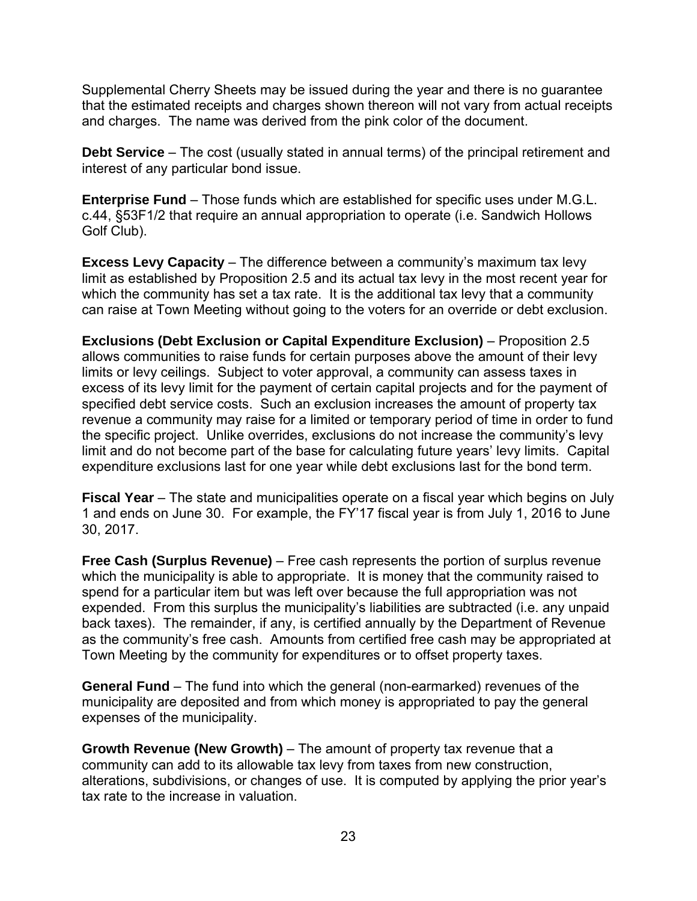Supplemental Cherry Sheets may be issued during the year and there is no guarantee that the estimated receipts and charges shown thereon will not vary from actual receipts and charges. The name was derived from the pink color of the document.

**Debt Service** – The cost (usually stated in annual terms) of the principal retirement and interest of any particular bond issue.

**Enterprise Fund** – Those funds which are established for specific uses under M.G.L. c.44, §53F1/2 that require an annual appropriation to operate (i.e. Sandwich Hollows Golf Club).

**Excess Levy Capacity** – The difference between a community's maximum tax levy limit as established by Proposition 2.5 and its actual tax levy in the most recent year for which the community has set a tax rate. It is the additional tax levy that a community can raise at Town Meeting without going to the voters for an override or debt exclusion.

**Exclusions (Debt Exclusion or Capital Expenditure Exclusion)** – Proposition 2.5 allows communities to raise funds for certain purposes above the amount of their levy limits or levy ceilings. Subject to voter approval, a community can assess taxes in excess of its levy limit for the payment of certain capital projects and for the payment of specified debt service costs. Such an exclusion increases the amount of property tax revenue a community may raise for a limited or temporary period of time in order to fund the specific project. Unlike overrides, exclusions do not increase the community's levy limit and do not become part of the base for calculating future years' levy limits. Capital expenditure exclusions last for one year while debt exclusions last for the bond term.

**Fiscal Year** – The state and municipalities operate on a fiscal year which begins on July 1 and ends on June 30. For example, the FY'17 fiscal year is from July 1, 2016 to June 30, 2017.

**Free Cash (Surplus Revenue)** – Free cash represents the portion of surplus revenue which the municipality is able to appropriate. It is money that the community raised to spend for a particular item but was left over because the full appropriation was not expended. From this surplus the municipality's liabilities are subtracted (i.e. any unpaid back taxes). The remainder, if any, is certified annually by the Department of Revenue as the community's free cash. Amounts from certified free cash may be appropriated at Town Meeting by the community for expenditures or to offset property taxes.

**General Fund** – The fund into which the general (non-earmarked) revenues of the municipality are deposited and from which money is appropriated to pay the general expenses of the municipality.

**Growth Revenue (New Growth)** – The amount of property tax revenue that a community can add to its allowable tax levy from taxes from new construction, alterations, subdivisions, or changes of use. It is computed by applying the prior year's tax rate to the increase in valuation.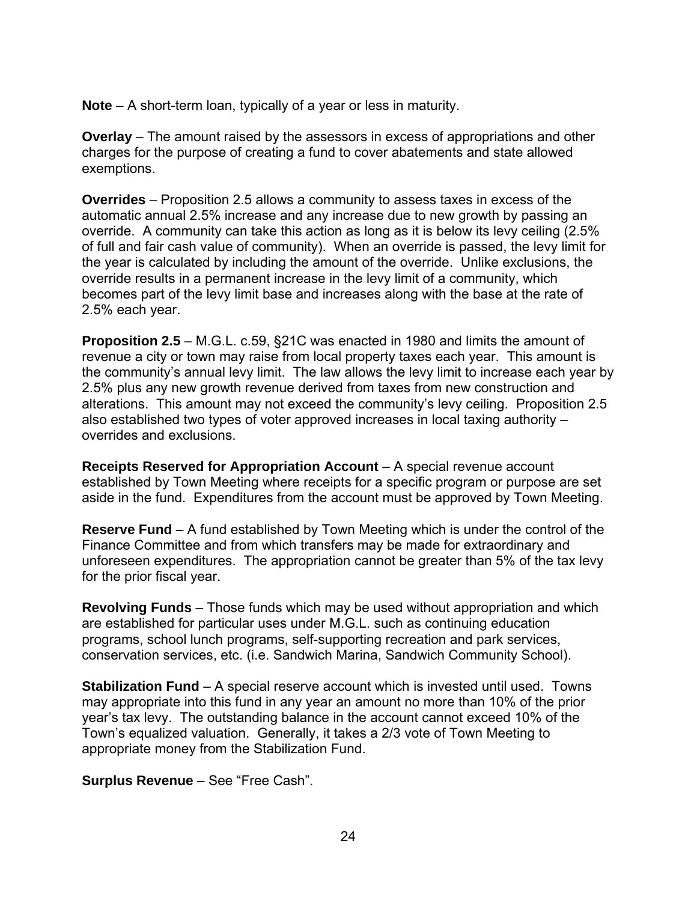**Note** – A short-term loan, typically of a year or less in maturity.

**Overlay** – The amount raised by the assessors in excess of appropriations and other charges for the purpose of creating a fund to cover abatements and state allowed exemptions.

**Overrides** – Proposition 2.5 allows a community to assess taxes in excess of the automatic annual 2.5% increase and any increase due to new growth by passing an override. A community can take this action as long as it is below its levy ceiling (2.5% of full and fair cash value of community). When an override is passed, the levy limit for the year is calculated by including the amount of the override. Unlike exclusions, the override results in a permanent increase in the levy limit of a community, which becomes part of the levy limit base and increases along with the base at the rate of 2.5% each year.

**Proposition 2.5** – M.G.L. c.59, §21C was enacted in 1980 and limits the amount of revenue a city or town may raise from local property taxes each year. This amount is the community's annual levy limit. The law allows the levy limit to increase each year by 2.5% plus any new growth revenue derived from taxes from new construction and alterations. This amount may not exceed the community's levy ceiling. Proposition 2.5 also established two types of voter approved increases in local taxing authority – overrides and exclusions.

**Receipts Reserved for Appropriation Account** – A special revenue account established by Town Meeting where receipts for a specific program or purpose are set aside in the fund. Expenditures from the account must be approved by Town Meeting.

**Reserve Fund** – A fund established by Town Meeting which is under the control of the Finance Committee and from which transfers may be made for extraordinary and unforeseen expenditures. The appropriation cannot be greater than 5% of the tax levy for the prior fiscal year.

**Revolving Funds** – Those funds which may be used without appropriation and which are established for particular uses under M.G.L. such as continuing education programs, school lunch programs, self-supporting recreation and park services, conservation services, etc. (i.e. Sandwich Marina, Sandwich Community School).

**Stabilization Fund** – A special reserve account which is invested until used. Towns may appropriate into this fund in any year an amount no more than 10% of the prior year's tax levy. The outstanding balance in the account cannot exceed 10% of the Town's equalized valuation. Generally, it takes a 2/3 vote of Town Meeting to appropriate money from the Stabilization Fund.

**Surplus Revenue** – See "Free Cash".